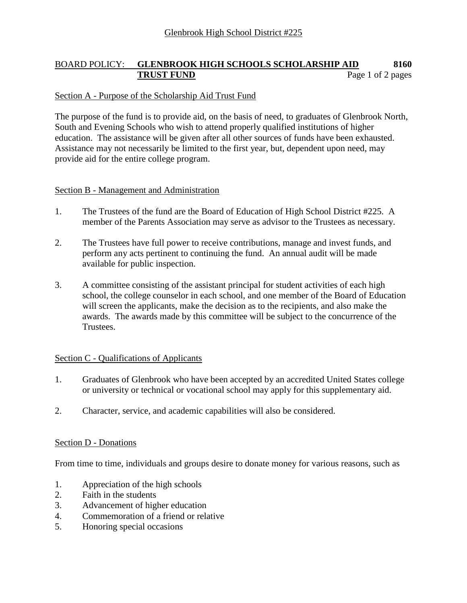# BOARD POLICY: **GLENBROOK HIGH SCHOOLS SCHOLARSHIP AID 8160 TRUST FUND** Page 1 of 2 pages

### Section A - Purpose of the Scholarship Aid Trust Fund

The purpose of the fund is to provide aid, on the basis of need, to graduates of Glenbrook North, South and Evening Schools who wish to attend properly qualified institutions of higher education. The assistance will be given after all other sources of funds have been exhausted. Assistance may not necessarily be limited to the first year, but, dependent upon need, may provide aid for the entire college program.

### Section B - Management and Administration

- 1. The Trustees of the fund are the Board of Education of High School District #225. A member of the Parents Association may serve as advisor to the Trustees as necessary.
- 2. The Trustees have full power to receive contributions, manage and invest funds, and perform any acts pertinent to continuing the fund. An annual audit will be made available for public inspection.
- 3. A committee consisting of the assistant principal for student activities of each high school, the college counselor in each school, and one member of the Board of Education will screen the applicants, make the decision as to the recipients, and also make the awards. The awards made by this committee will be subject to the concurrence of the Trustees.

### Section C - Qualifications of Applicants

- 1. Graduates of Glenbrook who have been accepted by an accredited United States college or university or technical or vocational school may apply for this supplementary aid.
- 2. Character, service, and academic capabilities will also be considered.

### Section D - Donations

From time to time, individuals and groups desire to donate money for various reasons, such as

- 1. Appreciation of the high schools
- 2. Faith in the students
- 3. Advancement of higher education
- 4. Commemoration of a friend or relative
- 5. Honoring special occasions